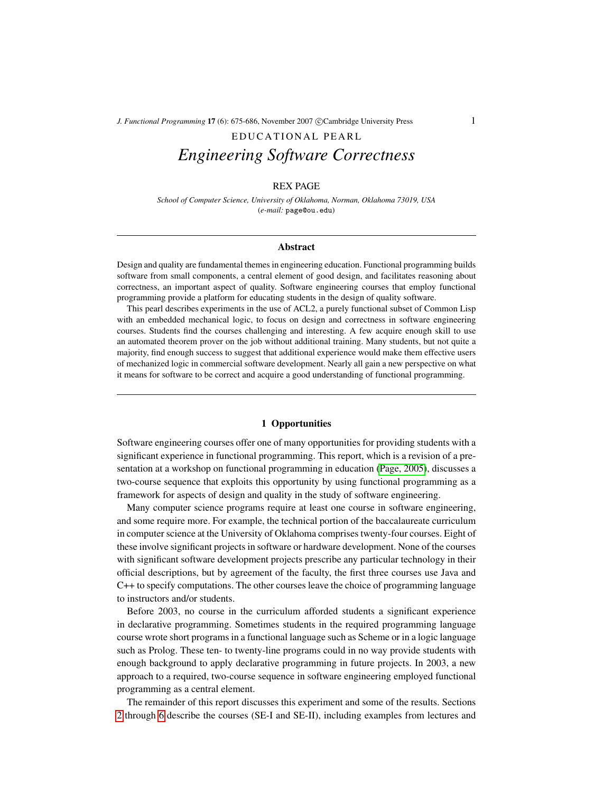# EDUCATIONAL PEARL *Engineering Software Correctness*

## REX PAGE

*School of Computer Science, University of Oklahoma, Norman, Oklahoma 73019, USA* (*e-mail:* page@ou.edu)

#### Abstract

Design and quality are fundamental themes in engineering education. Functional programming builds software from small components, a central element of good design, and facilitates reasoning about correctness, an important aspect of quality. Software engineering courses that employ functional programming provide a platform for educating students in the design of quality software.

This pearl describes experiments in the use of ACL2, a purely functional subset of Common Lisp with an embedded mechanical logic, to focus on design and correctness in software engineering courses. Students find the courses challenging and interesting. A few acquire enough skill to use an automated theorem prover on the job without additional training. Many students, but not quite a majority, find enough success to suggest that additional experience would make them effective users of mechanized logic in commercial software development. Nearly all gain a new perspective on what it means for software to be correct and acquire a good understanding of functional programming.

## 1 Opportunities

Software engineering courses offer one of many opportunities for providing students with a significant experience in functional programming. This report, which is a revision of a presentation at a workshop on functional programming in education [\(Page, 2005\)](#page-10-0), discusses a two-course sequence that exploits this opportunity by using functional programming as a framework for aspects of design and quality in the study of software engineering.

Many computer science programs require at least one course in software engineering, and some require more. For example, the technical portion of the baccalaureate curriculum in computer science at the University of Oklahoma comprises twenty-four courses. Eight of these involve significant projects in software or hardware development. None of the courses with significant software development projects prescribe any particular technology in their official descriptions, but by agreement of the faculty, the first three courses use Java and C++ to specify computations. The other courses leave the choice of programming language to instructors and/or students.

Before 2003, no course in the curriculum afforded students a significant experience in declarative programming. Sometimes students in the required programming language course wrote short programs in a functional language such as Scheme or in a logic language such as Prolog. These ten- to twenty-line programs could in no way provide students with enough background to apply declarative programming in future projects. In 2003, a new approach to a required, two-course sequence in software engineering employed functional programming as a central element.

The remainder of this report discusses this experiment and some of the results. Sections [2](#page-1-0) through [6](#page-7-0) describe the courses (SE-I and SE-II), including examples from lectures and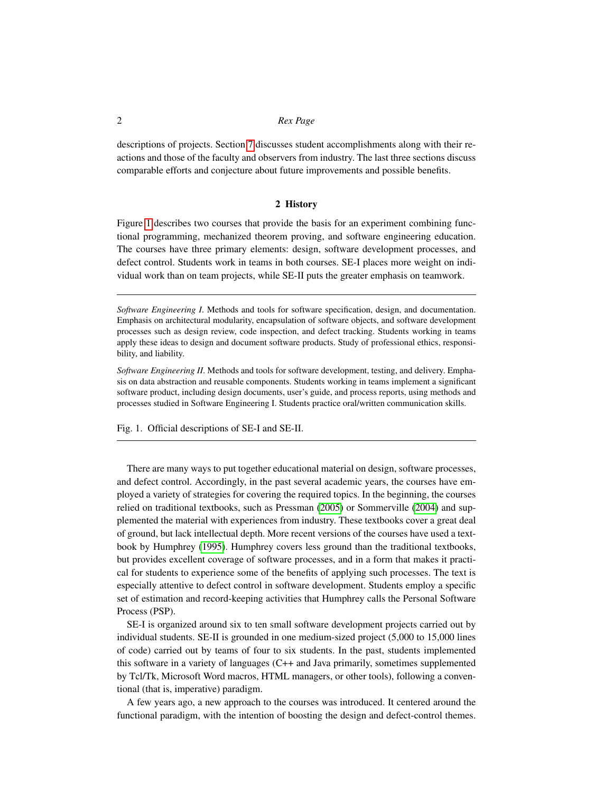descriptions of projects. Section [7](#page-7-1) discusses student accomplishments along with their reactions and those of the faculty and observers from industry. The last three sections discuss comparable efforts and conjecture about future improvements and possible benefits.

## 2 History

<span id="page-1-0"></span>Figure [1](#page-1-1) describes two courses that provide the basis for an experiment combining functional programming, mechanized theorem proving, and software engineering education. The courses have three primary elements: design, software development processes, and defect control. Students work in teams in both courses. SE-I places more weight on individual work than on team projects, while SE-II puts the greater emphasis on teamwork.

*Software Engineering I*. Methods and tools for software specification, design, and documentation. Emphasis on architectural modularity, encapsulation of software objects, and software development processes such as design review, code inspection, and defect tracking. Students working in teams apply these ideas to design and document software products. Study of professional ethics, responsibility, and liability.

*Software Engineering II*. Methods and tools for software development, testing, and delivery. Emphasis on data abstraction and reusable components. Students working in teams implement a significant software product, including design documents, user's guide, and process reports, using methods and processes studied in Software Engineering I. Students practice oral/written communication skills.

<span id="page-1-1"></span>Fig. 1. Official descriptions of SE-I and SE-II.

There are many ways to put together educational material on design, software processes, and defect control. Accordingly, in the past several academic years, the courses have employed a variety of strategies for covering the required topics. In the beginning, the courses relied on traditional textbooks, such as Pressman [\(2005\)](#page-10-1) or Sommerville [\(2004\)](#page-10-2) and supplemented the material with experiences from industry. These textbooks cover a great deal of ground, but lack intellectual depth. More recent versions of the courses have used a textbook by Humphrey [\(1995\)](#page-10-3). Humphrey covers less ground than the traditional textbooks, but provides excellent coverage of software processes, and in a form that makes it practical for students to experience some of the benefits of applying such processes. The text is especially attentive to defect control in software development. Students employ a specific set of estimation and record-keeping activities that Humphrey calls the Personal Software Process (PSP).

SE-I is organized around six to ten small software development projects carried out by individual students. SE-II is grounded in one medium-sized project (5,000 to 15,000 lines of code) carried out by teams of four to six students. In the past, students implemented this software in a variety of languages (C++ and Java primarily, sometimes supplemented by Tcl/Tk, Microsoft Word macros, HTML managers, or other tools), following a conventional (that is, imperative) paradigm.

A few years ago, a new approach to the courses was introduced. It centered around the functional paradigm, with the intention of boosting the design and defect-control themes.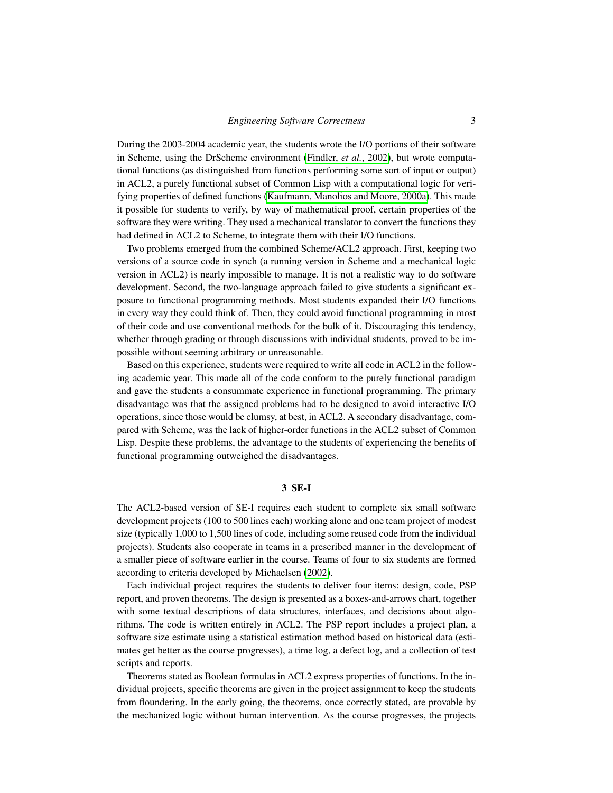During the 2003-2004 academic year, the students wrote the I/O portions of their software in Scheme, using the DrScheme environment [\(Findler,](#page-10-4) *et al.*, 2002), but wrote computational functions (as distinguished from functions performing some sort of input or output) in ACL2, a purely functional subset of Common Lisp with a computational logic for verifying properties of defined functions [\(Kaufmann, Manolios and Moore, 2000a\)](#page-10-5). This made it possible for students to verify, by way of mathematical proof, certain properties of the software they were writing. They used a mechanical translator to convert the functions they had defined in ACL2 to Scheme, to integrate them with their I/O functions.

Two problems emerged from the combined Scheme/ACL2 approach. First, keeping two versions of a source code in synch (a running version in Scheme and a mechanical logic version in ACL2) is nearly impossible to manage. It is not a realistic way to do software development. Second, the two-language approach failed to give students a significant exposure to functional programming methods. Most students expanded their I/O functions in every way they could think of. Then, they could avoid functional programming in most of their code and use conventional methods for the bulk of it. Discouraging this tendency, whether through grading or through discussions with individual students, proved to be impossible without seeming arbitrary or unreasonable.

Based on this experience, students were required to write all code in ACL2 in the following academic year. This made all of the code conform to the purely functional paradigm and gave the students a consummate experience in functional programming. The primary disadvantage was that the assigned problems had to be designed to avoid interactive I/O operations, since those would be clumsy, at best, in ACL2. A secondary disadvantage, compared with Scheme, was the lack of higher-order functions in the ACL2 subset of Common Lisp. Despite these problems, the advantage to the students of experiencing the benefits of functional programming outweighed the disadvantages.

#### 3 SE-I

The ACL2-based version of SE-I requires each student to complete six small software development projects (100 to 500 lines each) working alone and one team project of modest size (typically 1,000 to 1,500 lines of code, including some reused code from the individual projects). Students also cooperate in teams in a prescribed manner in the development of a smaller piece of software earlier in the course. Teams of four to six students are formed according to criteria developed by Michaelsen [\(2002\)](#page-10-6).

Each individual project requires the students to deliver four items: design, code, PSP report, and proven theorems. The design is presented as a boxes-and-arrows chart, together with some textual descriptions of data structures, interfaces, and decisions about algorithms. The code is written entirely in ACL2. The PSP report includes a project plan, a software size estimate using a statistical estimation method based on historical data (estimates get better as the course progresses), a time log, a defect log, and a collection of test scripts and reports.

Theorems stated as Boolean formulas in ACL2 express properties of functions. In the individual projects, specific theorems are given in the project assignment to keep the students from floundering. In the early going, the theorems, once correctly stated, are provable by the mechanized logic without human intervention. As the course progresses, the projects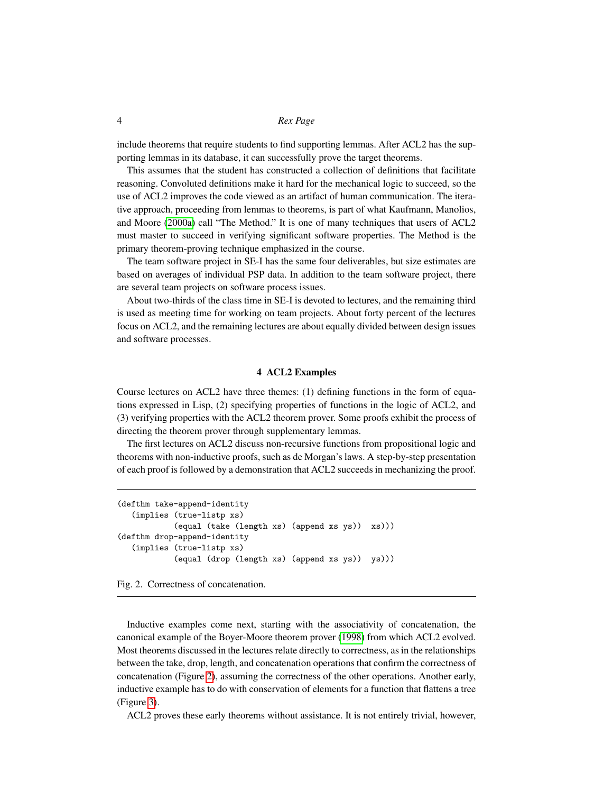include theorems that require students to find supporting lemmas. After ACL2 has the supporting lemmas in its database, it can successfully prove the target theorems.

This assumes that the student has constructed a collection of definitions that facilitate reasoning. Convoluted definitions make it hard for the mechanical logic to succeed, so the use of ACL2 improves the code viewed as an artifact of human communication. The iterative approach, proceeding from lemmas to theorems, is part of what Kaufmann, Manolios, and Moore [\(2000a\)](#page-10-5) call "The Method." It is one of many techniques that users of ACL2 must master to succeed in verifying significant software properties. The Method is the primary theorem-proving technique emphasized in the course.

The team software project in SE-I has the same four deliverables, but size estimates are based on averages of individual PSP data. In addition to the team software project, there are several team projects on software process issues.

About two-thirds of the class time in SE-I is devoted to lectures, and the remaining third is used as meeting time for working on team projects. About forty percent of the lectures focus on ACL2, and the remaining lectures are about equally divided between design issues and software processes.

#### 4 ACL2 Examples

Course lectures on ACL2 have three themes: (1) defining functions in the form of equations expressed in Lisp, (2) specifying properties of functions in the logic of ACL2, and (3) verifying properties with the ACL2 theorem prover. Some proofs exhibit the process of directing the theorem prover through supplementary lemmas.

The first lectures on ACL2 discuss non-recursive functions from propositional logic and theorems with non-inductive proofs, such as de Morgan's laws. A step-by-step presentation of each proof is followed by a demonstration that ACL2 succeeds in mechanizing the proof.

```
(defthm take-append-identity
   (implies (true-listp xs)
            (equal (take (length xs) (append xs ys)) xs)))
(defthm drop-append-identity
   (implies (true-listp xs)
            (equal (drop (length xs) (append xs ys)) ys)))
```
<span id="page-3-0"></span>Fig. 2. Correctness of concatenation.

Inductive examples come next, starting with the associativity of concatenation, the canonical example of the Boyer-Moore theorem prover [\(1998\)](#page-10-7) from which ACL2 evolved. Most theorems discussed in the lectures relate directly to correctness, as in the relationships between the take, drop, length, and concatenation operations that confirm the correctness of concatenation (Figure [2\)](#page-3-0), assuming the correctness of the other operations. Another early, inductive example has to do with conservation of elements for a function that flattens a tree (Figure [3\)](#page-4-0).

ACL2 proves these early theorems without assistance. It is not entirely trivial, however,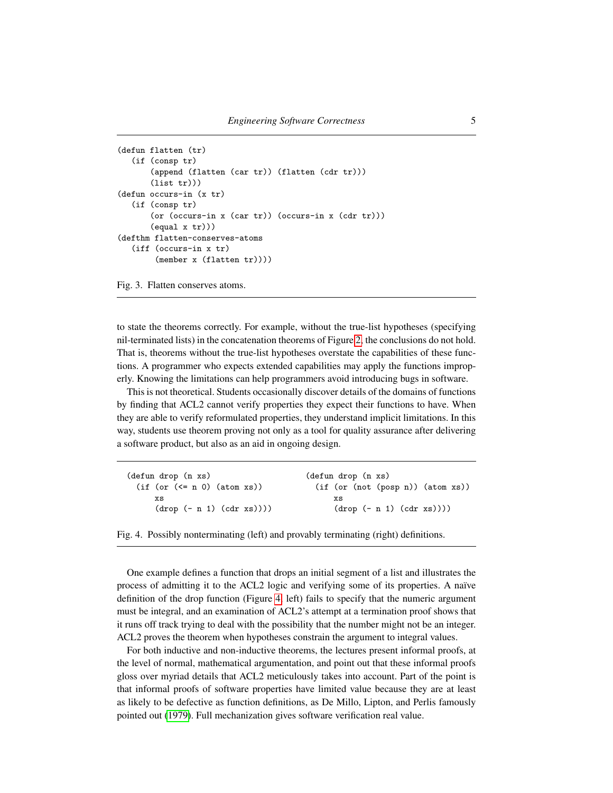```
(defun flatten (tr)
  (if (consp tr)
       (append (flatten (car tr)) (flatten (cdr tr)))
       (list tr)))(defun occurs-in (x tr)
  (if (consp tr)
       (or (occurs-in x (car tr)) (occurs-in x (cdr tr)))
       (equal x tr)))
(defthm flatten-conserves-atoms
   (iff (occurs-in x tr)
        (member x (flatten tr))))
```
<span id="page-4-0"></span>Fig. 3. Flatten conserves atoms.

to state the theorems correctly. For example, without the true-list hypotheses (specifying nil-terminated lists) in the concatenation theorems of Figure [2,](#page-3-0) the conclusions do not hold. That is, theorems without the true-list hypotheses overstate the capabilities of these functions. A programmer who expects extended capabilities may apply the functions improperly. Knowing the limitations can help programmers avoid introducing bugs in software.

This is not theoretical. Students occasionally discover details of the domains of functions by finding that ACL2 cannot verify properties they expect their functions to have. When they are able to verify reformulated properties, they understand implicit limitations. In this way, students use theorem proving not only as a tool for quality assurance after delivering a software product, but also as an aid in ongoing design.

| (defun drop (n xs)            | (defun drop (n xs)                |
|-------------------------------|-----------------------------------|
| $(if (or (<= n 0) (atom xs))$ | (if (or (not (posp n)) (atom xs)) |
| XS                            | XS                                |
| $(drop (- n 1) (cdr xs))))$   | $(drop (- n 1) (cdr xs))))$       |

```
Fig. 4. Possibly nonterminating (left) and provably terminating (right) definitions.
```
One example defines a function that drops an initial segment of a list and illustrates the process of admitting it to the ACL2 logic and verifying some of its properties. A naïve definition of the drop function (Figure [4,](#page-4-1) left) fails to specify that the numeric argument must be integral, and an examination of ACL2's attempt at a termination proof shows that it runs off track trying to deal with the possibility that the number might not be an integer. ACL2 proves the theorem when hypotheses constrain the argument to integral values.

For both inductive and non-inductive theorems, the lectures present informal proofs, at the level of normal, mathematical argumentation, and point out that these informal proofs gloss over myriad details that ACL2 meticulously takes into account. Part of the point is that informal proofs of software properties have limited value because they are at least as likely to be defective as function definitions, as De Millo, Lipton, and Perlis famously pointed out [\(1979\)](#page-10-8). Full mechanization gives software verification real value.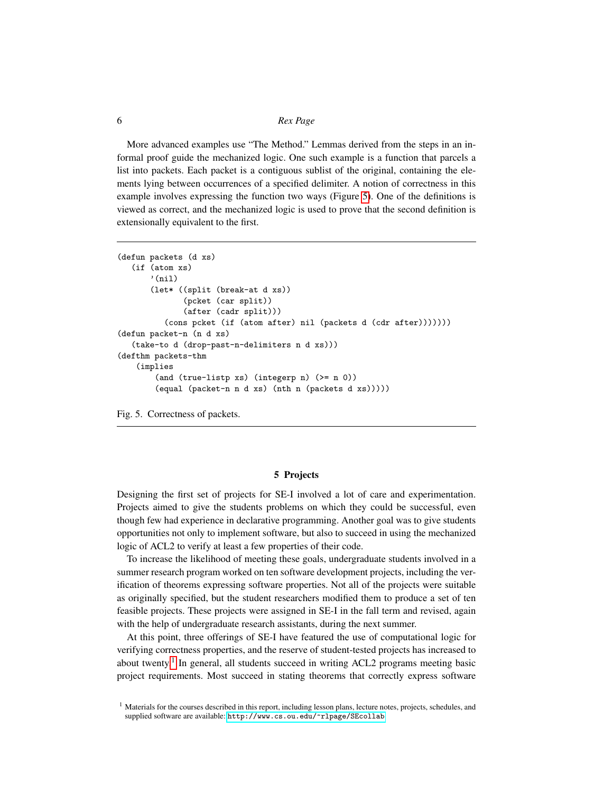More advanced examples use "The Method." Lemmas derived from the steps in an informal proof guide the mechanized logic. One such example is a function that parcels a list into packets. Each packet is a contiguous sublist of the original, containing the elements lying between occurrences of a specified delimiter. A notion of correctness in this example involves expressing the function two ways (Figure [5\)](#page-5-0). One of the definitions is viewed as correct, and the mechanized logic is used to prove that the second definition is extensionally equivalent to the first.

```
(defun packets (d xs)
   (if (atom xs)
       '(ni1)(let* ((split (break-at d xs))
              (pcket (car split))
              (after (cadr split)))
          (cons pcket (if (atom after) nil (packets d (cdr after)))))))
(defun packet-n (n d xs)
   (take-to d (drop-past-n-delimiters n d xs)))
(defthm packets-thm
   (implies
        (and (true-listp xs) (integerp n) (>= n 0))
        (equal (packet-n n d xs) (nth n (packets d xs)))))
```
<span id="page-5-0"></span>Fig. 5. Correctness of packets.

#### 5 Projects

Designing the first set of projects for SE-I involved a lot of care and experimentation. Projects aimed to give the students problems on which they could be successful, even though few had experience in declarative programming. Another goal was to give students opportunities not only to implement software, but also to succeed in using the mechanized logic of ACL2 to verify at least a few properties of their code.

To increase the likelihood of meeting these goals, undergraduate students involved in a summer research program worked on ten software development projects, including the verification of theorems expressing software properties. Not all of the projects were suitable as originally specified, but the student researchers modified them to produce a set of ten feasible projects. These projects were assigned in SE-I in the fall term and revised, again with the help of undergraduate research assistants, during the next summer.

At this point, three offerings of SE-I have featured the use of computational logic for verifying correctness properties, and the reserve of student-tested projects has increased to about twenty.<sup>[1](#page-5-1)</sup> In general, all students succeed in writing ACL2 programs meeting basic project requirements. Most succeed in stating theorems that correctly express software

<span id="page-5-1"></span><sup>&</sup>lt;sup>1</sup> Materials for the courses described in this report, including lesson plans, lecture notes, projects, schedules, and supplied software are available: <http://www.cs.ou.edu/~rlpage/SEcollab>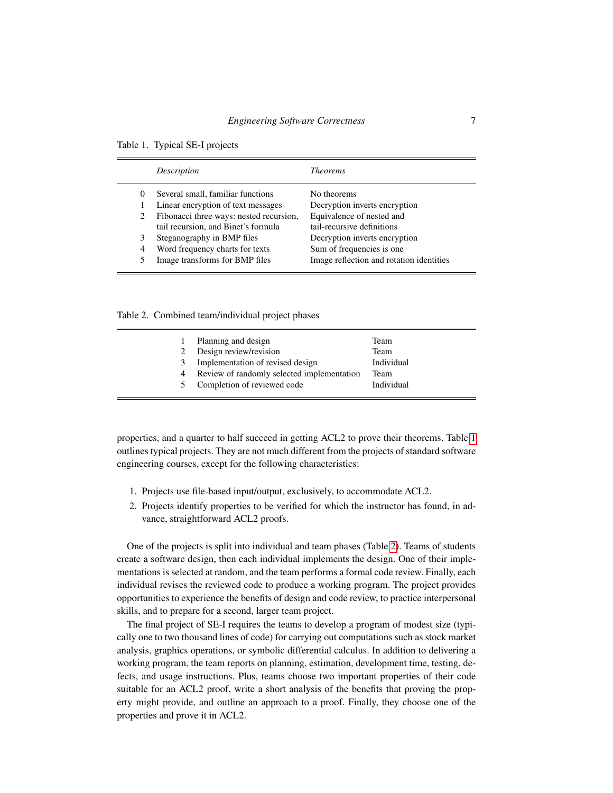|                | Description                                                                    | <i>Theorems</i>                                         |
|----------------|--------------------------------------------------------------------------------|---------------------------------------------------------|
| $\theta$       | Several small, familiar functions                                              | No theorems                                             |
|                | Linear encryption of text messages                                             | Decryption inverts encryption                           |
| 2              | Fibonacci three ways: nested recursion,<br>tail recursion, and Binet's formula | Equivalence of nested and<br>tail-recursive definitions |
| 3              | Steganography in BMP files                                                     | Decryption inverts encryption                           |
| $\overline{4}$ | Word frequency charts for texts                                                | Sum of frequencies is one                               |
|                | Image transforms for BMP files                                                 | Image reflection and rotation identities                |

<span id="page-6-0"></span>Table 1. Typical SE-I projects

Table 2. Combined team/individual project phases

<span id="page-6-1"></span>

|    | Planning and design                        | Team        |
|----|--------------------------------------------|-------------|
|    | Design review/revision                     | <b>Team</b> |
| 3  | Implementation of revised design           | Individual  |
| 4  | Review of randomly selected implementation | Team        |
| 5. | Completion of reviewed code                | Individual  |

properties, and a quarter to half succeed in getting ACL2 to prove their theorems. Table [1](#page-6-0) outlines typical projects. They are not much different from the projects of standard software engineering courses, except for the following characteristics:

- 1. Projects use file-based input/output, exclusively, to accommodate ACL2.
- 2. Projects identify properties to be verified for which the instructor has found, in advance, straightforward ACL2 proofs.

One of the projects is split into individual and team phases (Table [2\)](#page-6-1). Teams of students create a software design, then each individual implements the design. One of their implementations is selected at random, and the team performs a formal code review. Finally, each individual revises the reviewed code to produce a working program. The project provides opportunities to experience the benefits of design and code review, to practice interpersonal skills, and to prepare for a second, larger team project.

The final project of SE-I requires the teams to develop a program of modest size (typically one to two thousand lines of code) for carrying out computations such as stock market analysis, graphics operations, or symbolic differential calculus. In addition to delivering a working program, the team reports on planning, estimation, development time, testing, defects, and usage instructions. Plus, teams choose two important properties of their code suitable for an ACL2 proof, write a short analysis of the benefits that proving the property might provide, and outline an approach to a proof. Finally, they choose one of the properties and prove it in ACL2.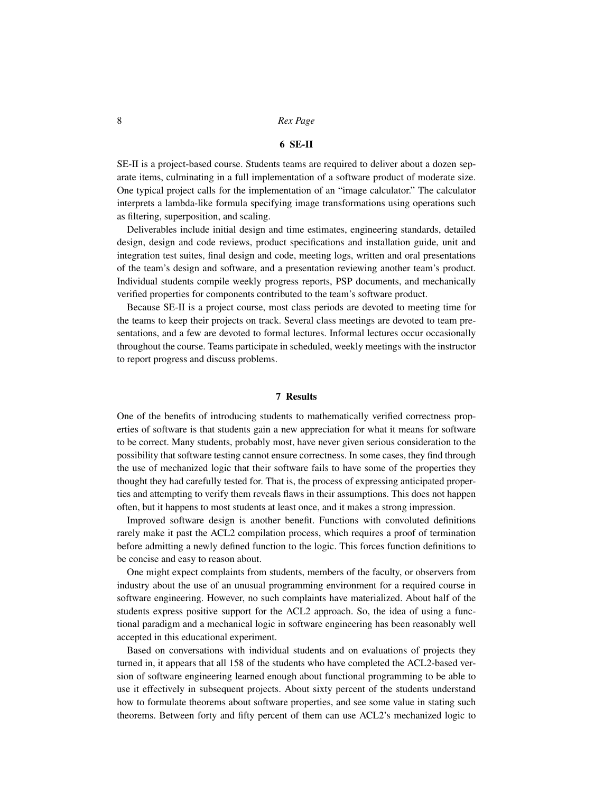#### 6 SE-II

<span id="page-7-0"></span>SE-II is a project-based course. Students teams are required to deliver about a dozen separate items, culminating in a full implementation of a software product of moderate size. One typical project calls for the implementation of an "image calculator." The calculator interprets a lambda-like formula specifying image transformations using operations such as filtering, superposition, and scaling.

Deliverables include initial design and time estimates, engineering standards, detailed design, design and code reviews, product specifications and installation guide, unit and integration test suites, final design and code, meeting logs, written and oral presentations of the team's design and software, and a presentation reviewing another team's product. Individual students compile weekly progress reports, PSP documents, and mechanically verified properties for components contributed to the team's software product.

Because SE-II is a project course, most class periods are devoted to meeting time for the teams to keep their projects on track. Several class meetings are devoted to team presentations, and a few are devoted to formal lectures. Informal lectures occur occasionally throughout the course. Teams participate in scheduled, weekly meetings with the instructor to report progress and discuss problems.

## 7 Results

<span id="page-7-1"></span>One of the benefits of introducing students to mathematically verified correctness properties of software is that students gain a new appreciation for what it means for software to be correct. Many students, probably most, have never given serious consideration to the possibility that software testing cannot ensure correctness. In some cases, they find through the use of mechanized logic that their software fails to have some of the properties they thought they had carefully tested for. That is, the process of expressing anticipated properties and attempting to verify them reveals flaws in their assumptions. This does not happen often, but it happens to most students at least once, and it makes a strong impression.

Improved software design is another benefit. Functions with convoluted definitions rarely make it past the ACL2 compilation process, which requires a proof of termination before admitting a newly defined function to the logic. This forces function definitions to be concise and easy to reason about.

One might expect complaints from students, members of the faculty, or observers from industry about the use of an unusual programming environment for a required course in software engineering. However, no such complaints have materialized. About half of the students express positive support for the ACL2 approach. So, the idea of using a functional paradigm and a mechanical logic in software engineering has been reasonably well accepted in this educational experiment.

Based on conversations with individual students and on evaluations of projects they turned in, it appears that all 158 of the students who have completed the ACL2-based version of software engineering learned enough about functional programming to be able to use it effectively in subsequent projects. About sixty percent of the students understand how to formulate theorems about software properties, and see some value in stating such theorems. Between forty and fifty percent of them can use ACL2's mechanized logic to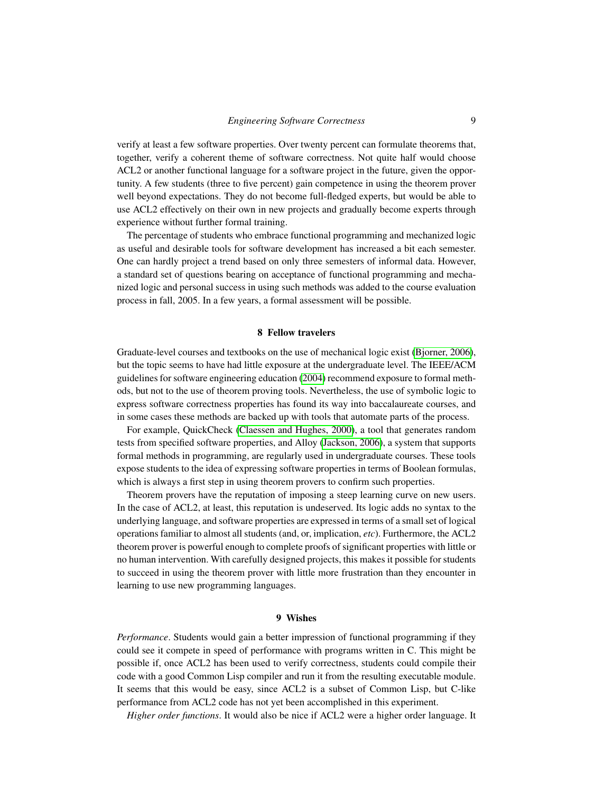verify at least a few software properties. Over twenty percent can formulate theorems that, together, verify a coherent theme of software correctness. Not quite half would choose ACL2 or another functional language for a software project in the future, given the opportunity. A few students (three to five percent) gain competence in using the theorem prover well beyond expectations. They do not become full-fledged experts, but would be able to use ACL2 effectively on their own in new projects and gradually become experts through experience without further formal training.

The percentage of students who embrace functional programming and mechanized logic as useful and desirable tools for software development has increased a bit each semester. One can hardly project a trend based on only three semesters of informal data. However, a standard set of questions bearing on acceptance of functional programming and mechanized logic and personal success in using such methods was added to the course evaluation process in fall, 2005. In a few years, a formal assessment will be possible.

#### 8 Fellow travelers

Graduate-level courses and textbooks on the use of mechanical logic exist [\(Bjorner, 2006\)](#page-10-9), but the topic seems to have had little exposure at the undergraduate level. The IEEE/ACM guidelines for software engineering education [\(2004\)](#page-10-10) recommend exposure to formal methods, but not to the use of theorem proving tools. Nevertheless, the use of symbolic logic to express software correctness properties has found its way into baccalaureate courses, and in some cases these methods are backed up with tools that automate parts of the process.

For example, QuickCheck [\(Claessen and Hughes, 2000\)](#page-10-11), a tool that generates random tests from specified software properties, and Alloy [\(Jackson, 2006\)](#page-10-12), a system that supports formal methods in programming, are regularly used in undergraduate courses. These tools expose students to the idea of expressing software properties in terms of Boolean formulas, which is always a first step in using theorem provers to confirm such properties.

Theorem provers have the reputation of imposing a steep learning curve on new users. In the case of ACL2, at least, this reputation is undeserved. Its logic adds no syntax to the underlying language, and software properties are expressed in terms of a small set of logical operations familiar to almost all students (and, or, implication, *etc*). Furthermore, the ACL2 theorem prover is powerful enough to complete proofs of significant properties with little or no human intervention. With carefully designed projects, this makes it possible for students to succeed in using the theorem prover with little more frustration than they encounter in learning to use new programming languages.

## 9 Wishes

*Performance*. Students would gain a better impression of functional programming if they could see it compete in speed of performance with programs written in C. This might be possible if, once ACL2 has been used to verify correctness, students could compile their code with a good Common Lisp compiler and run it from the resulting executable module. It seems that this would be easy, since ACL2 is a subset of Common Lisp, but C-like performance from ACL2 code has not yet been accomplished in this experiment.

*Higher order functions*. It would also be nice if ACL2 were a higher order language. It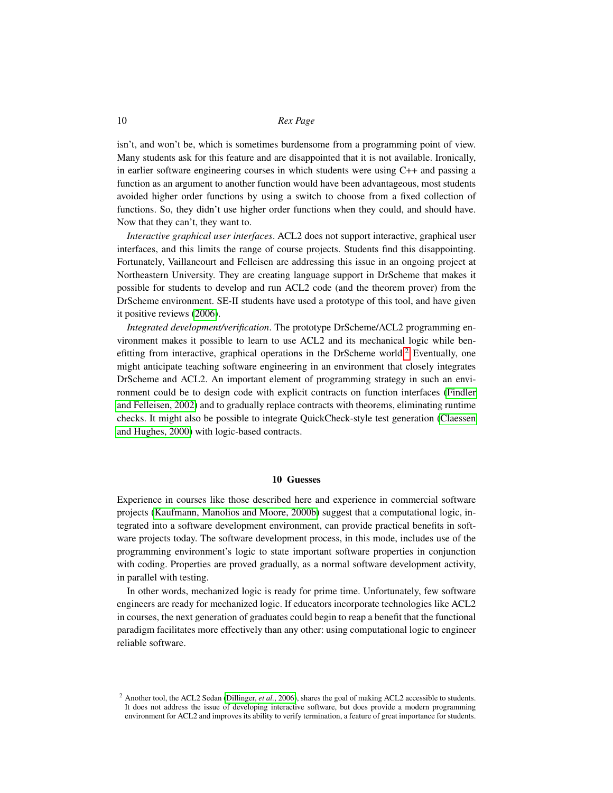isn't, and won't be, which is sometimes burdensome from a programming point of view. Many students ask for this feature and are disappointed that it is not available. Ironically, in earlier software engineering courses in which students were using C++ and passing a function as an argument to another function would have been advantageous, most students avoided higher order functions by using a switch to choose from a fixed collection of functions. So, they didn't use higher order functions when they could, and should have. Now that they can't, they want to.

*Interactive graphical user interfaces*. ACL2 does not support interactive, graphical user interfaces, and this limits the range of course projects. Students find this disappointing. Fortunately, Vaillancourt and Felleisen are addressing this issue in an ongoing project at Northeastern University. They are creating language support in DrScheme that makes it possible for students to develop and run ACL2 code (and the theorem prover) from the DrScheme environment. SE-II students have used a prototype of this tool, and have given it positive reviews [\(2006\)](#page-10-13).

*Integrated development/verification*. The prototype DrScheme/ACL2 programming environment makes it possible to learn to use ACL2 and its mechanical logic while ben-efitting from interactive, graphical operations in the DrScheme world.<sup>[2](#page-9-0)</sup> Eventually, one might anticipate teaching software engineering in an environment that closely integrates DrScheme and ACL2. An important element of programming strategy in such an environment could be to design code with explicit contracts on function interfaces [\(Findler](#page-10-14) [and Felleisen, 2002\)](#page-10-14) and to gradually replace contracts with theorems, eliminating runtime checks. It might also be possible to integrate QuickCheck-style test generation [\(Claessen](#page-10-11) [and Hughes, 2000\)](#page-10-11) with logic-based contracts.

## 10 Guesses

Experience in courses like those described here and experience in commercial software projects [\(Kaufmann, Manolios and Moore, 2000b\)](#page-10-15) suggest that a computational logic, integrated into a software development environment, can provide practical benefits in software projects today. The software development process, in this mode, includes use of the programming environment's logic to state important software properties in conjunction with coding. Properties are proved gradually, as a normal software development activity, in parallel with testing.

In other words, mechanized logic is ready for prime time. Unfortunately, few software engineers are ready for mechanized logic. If educators incorporate technologies like ACL2 in courses, the next generation of graduates could begin to reap a benefit that the functional paradigm facilitates more effectively than any other: using computational logic to engineer reliable software.

<span id="page-9-0"></span><sup>2</sup> Another tool, the ACL2 Sedan [\(Dillinger,](#page-10-16) *et al.*, 2006), shares the goal of making ACL2 accessible to students. It does not address the issue of developing interactive software, but does provide a modern programming environment for ACL2 and improves its ability to verify termination, a feature of great importance for students.